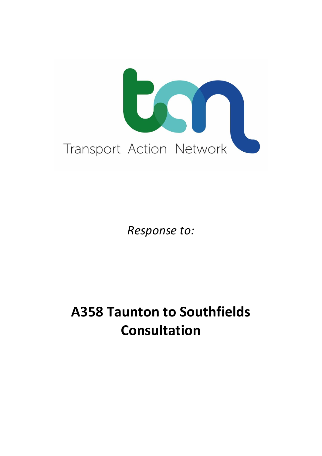

*Response to:*

# **A358 Taunton to Southfields Consultation**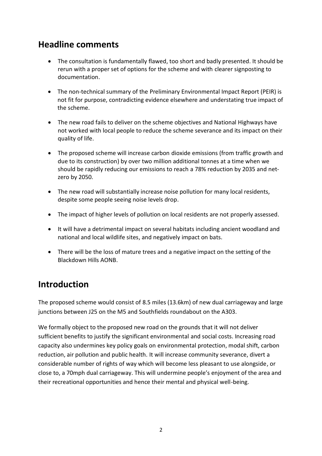### **Headline comments**

- The consultation is fundamentally flawed, too short and badly presented. It should be rerun with a proper set of options for the scheme and with clearer signposting to documentation.
- The non-technical summary of the Preliminary Environmental Impact Report (PEIR) is not fit for purpose, contradicting evidence elsewhere and understating true impact of the scheme.
- The new road fails to deliver on the scheme objectives and National Highways have not worked with local people to reduce the scheme severance and its impact on their quality of life.
- The proposed scheme will increase carbon dioxide emissions (from traffic growth and due to its construction) by over two million additional tonnes at a time when we should be rapidly reducing our emissions to reach a 78% reduction by 2035 and netzero by 2050.
- The new road will substantially increase noise pollution for many local residents, despite some people seeing noise levels drop.
- The impact of higher levels of pollution on local residents are not properly assessed.
- It will have a detrimental impact on several habitats including ancient woodland and national and local wildlife sites, and negatively impact on bats.
- There will be the loss of mature trees and a negative impact on the setting of the Blackdown Hills AONB.

## **Introduction**

The proposed scheme would consist of 8.5 miles (13.6km) of new dual carriageway and large junctions between J25 on the M5 and Southfields roundabout on the A303.

We formally object to the proposed new road on the grounds that it will not deliver sufficient benefits to justify the significant environmental and social costs. Increasing road capacity also undermines key policy goals on environmental protection, modal shift, carbon reduction, air pollution and public health. It will increase community severance, divert a considerable number of rights of way which will become less pleasant to use alongside, or close to, a 70mph dual carriageway. This will undermine people's enjoyment of the area and their recreational opportunities and hence their mental and physical well-being.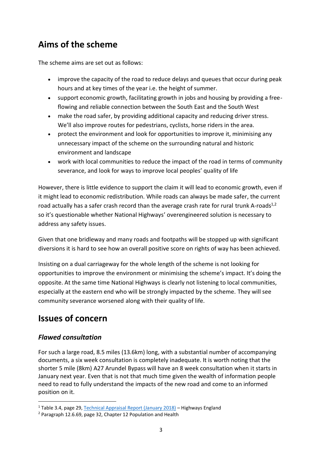## **Aims of the scheme**

The scheme aims are set out as follows:

- improve the capacity of the road to reduce delays and queues that occur during peak hours and at key times of the year i.e. the height of summer.
- support economic growth, facilitating growth in jobs and housing by providing a freeflowing and reliable connection between the South East and the South West
- make the road safer, by providing additional capacity and reducing driver stress. We'll also improve routes for pedestrians, cyclists, horse riders in the area.
- protect the environment and look for opportunities to improve it, minimising any unnecessary impact of the scheme on the surrounding natural and historic environment and landscape
- work with local communities to reduce the impact of the road in terms of community severance, and look for ways to improve local peoples' quality of life

However, there is little evidence to support the claim it will lead to economic growth, even if it might lead to economic redistribution. While roads can always be made safer, the current road actually has a safer crash record than the average crash rate for rural trunk A-roads<sup>1,2</sup> so it's questionable whether National Highways' overengineered solution is necessary to address any safety issues.

Given that one bridleway and many roads and footpaths will be stopped up with significant diversions it is hard to see how an overall positive score on rights of way has been achieved.

Insisting on a dual carriageway for the whole length of the scheme is not looking for opportunities to improve the environment or minimising the scheme's impact. It's doing the opposite. At the same time National Highways is clearly not listening to local communities, especially at the eastern end who will be strongly impacted by the scheme. They will see community severance worsened along with their quality of life.

# **Issues of concern**

#### *Flawed consultation*

For such a large road, 8.5 miles (13.6km) long, with a substantial number of accompanying documents, a six week consultation is completely inadequate. It is worth noting that the shorter 5 mile (8km) A27 Arundel Bypass will have an 8 week consultation when it starts in January next year. Even that is not that much time given the wealth of information people need to read to fully understand the impacts of the new road and come to an informed position on it.

<sup>1</sup> Table 3.4, page 29, [Technical Appraisal Report \(January 2018\)](https://highwaysengland.citizenspace.com/he/taunton-to-southfields-dualling-scheme/supporting_documents/A358%20TAR%20Full%20Copy%20Addendum%2020%20FEB%202018.pdf) – Highways England

<sup>2</sup> Paragraph 12.6.69, page 32, Chapter 12 Population and Health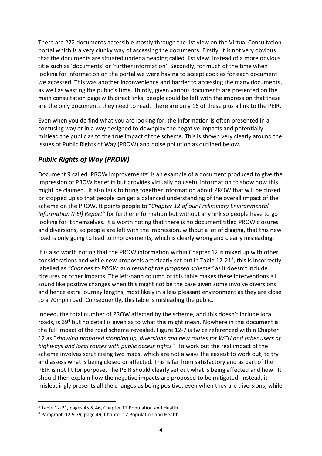There are 272 documents accessible mostly through the list view on the Virtual Consultation portal which is a very clunky way of accessing the documents. Firstly, it is not very obvious that the documents are situated under a heading called 'list view' instead of a more obvious title such as 'documents' or 'further information'. Secondly, for much of the time when looking for information on the portal we were having to accept cookies for each document we accessed. This was another inconvenience and barrier to accessing the many documents, as well as wasting the public's time. Thirdly, given various documents are presented on the main consultation page with direct links, people could be left with the impression that these are the only documents they need to read. There are only 16 of these plus a link to the PEIR.

Even when you do find what you are looking for, the information is often presented in a confusing way or in a way designed to downplay the negative impacts and potentially mislead the public as to the true impact of the scheme. This is shown very clearly around the issues of Public Rights of Way (PROW) and noise pollution as outlined below.

#### *Public Rights of Way (PROW)*

Document 9 called 'PROW improvements' is an example of a document produced to give the impression of PROW benefits but provides virtually no useful information to show how this might be claimed. It also fails to bring together information about PROW that will be closed or stopped up so that people can get a balanced understanding of the overall impact of the scheme on the PROW. It points people to "*Chapter 12 of our Preliminary Environmental Information (PEI) Report"* for further information but without any link so people have to go looking for it themselves. It is worth noting that there is no document titled PROW closures and diversions, so people are left with the impression, without a lot of digging, that this new road is only going to lead to improvements, which is clearly wrong and clearly misleading.

It is also worth noting that the PROW information within Chapter 12 is mixed up with other considerations and while new proposals are clearly set out in Table 12-21<sup>3</sup>, this is incorrectly labelled as *"Changes to PROW as a result of the proposed scheme"* as it doesn't include closures or other impacts. The left-hand column of this table makes these interventions all sound like positive changes when this might not be the case given some involve diversions and hence extra journey lengths, most likely in a less pleasant environment as they are close to a 70mph road. Consequently, this table is misleading the public.

Indeed, the total number of PROW affected by the scheme, and this doesn't include local roads, is 39<sup>4</sup> but no detail is given as to what this might mean. Nowhere in this document is the full impact of the road scheme revealed. Figure 12-7 is twice referenced within Chapter 12 as "*showing proposed stopping up, diversions and new routes for WCH and other users of highways and local routes with public access rights".* To work out the real impact of the scheme involves scrutinising two maps, which are not always the easiest to work out, to try and assess what is being closed or affected. This is far from satisfactory and as part of the PEIR is not fit for purpose. The PEIR should clearly set out what is being affected and how. It should then explain how the negative impacts are proposed to be mitigated. Instead, it misleadingly presents all the changes as being positive, even when they are diversions, while

<sup>&</sup>lt;sup>3</sup> Table 12-21, pages 45 & 46, Chapter 12 Population and Health

<sup>4</sup> Paragraph 12.9.79, page 49, Chapter 12 Population and Health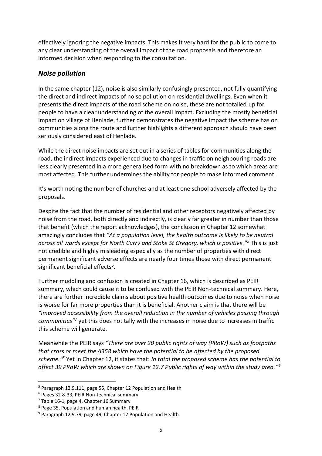effectively ignoring the negative impacts. This makes it very hard for the public to come to any clear understanding of the overall impact of the road proposals and therefore an informed decision when responding to the consultation.

#### *Noise pollution*

In the same chapter (12), noise is also similarly confusingly presented, not fully quantifying the direct and indirect impacts of noise pollution on residential dwellings. Even when it presents the direct impacts of the road scheme on noise, these are not totalled up for people to have a clear understanding of the overall impact. Excluding the mostly beneficial impact on village of Henlade, further demonstrates the negative impact the scheme has on communities along the route and further highlights a different approach should have been seriously considered east of Henlade.

While the direct noise impacts are set out in a series of tables for communities along the road, the indirect impacts experienced due to changes in traffic on neighbouring roads are less clearly presented in a more generalised form with no breakdown as to which areas are most affected. This further undermines the ability for people to make informed comment.

It's worth noting the number of churches and at least one school adversely affected by the proposals.

Despite the fact that the number of residential and other receptors negatively affected by noise from the road, both directly and indirectly, is clearly far greater in number than those that benefit (which the report acknowledges), the conclusion in Chapter 12 somewhat amazingly concludes that *"At a population level, the health outcome is likely to be neutral across all wards except for North Curry and Stoke St Gregory, which is positive."<sup>5</sup>* This is just not credible and highly misleading especially as the number of properties with direct permanent significant adverse effects are nearly four times those with direct permanent significant beneficial effects<sup>6</sup>.

Further muddling and confusion is created in Chapter 16, which is described as PEIR summary, which could cause it to be confused with the PEIR Non-technical summary. Here, there are further incredible claims about positive health outcomes due to noise when noise is worse for far more properties than it is beneficial. Another claim is that there will be *"improved accessibility from the overall reduction in the number of vehicles passing through communities"<sup>7</sup>* yet this does not tally with the increases in noise due to increases in traffic this scheme will generate.

Meanwhile the PEIR says *"There are over 20 public rights of way (PRoW) such as footpaths that cross or meet the A358 which have the potential to be affected by the proposed scheme."<sup>8</sup>* Yet in Chapter 12, it states that: *In total the proposed scheme has the potential to affect 39 PRoW which are shown on Figure 12.7 Public rights of way within the study area." 9*

<sup>&</sup>lt;sup>5</sup> Paragraph 12.9.111, page 55, Chapter 12 Population and Health

<sup>6</sup> Pages 32 & 33, PEIR Non-technical summary

<sup>&</sup>lt;sup>7</sup> Table 16-1, page 4, Chapter 16 Summary

<sup>8</sup> Page 35, Population and human health, PEIR

<sup>9</sup> Paragraph 12.9.79, page 49, Chapter 12 Population and Health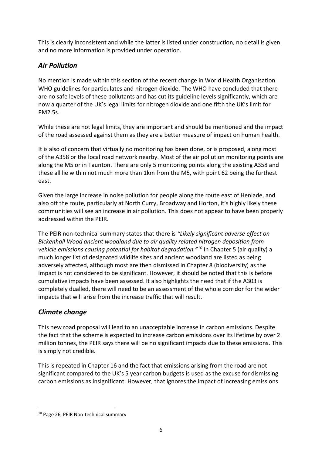This is clearly inconsistent and while the latter is listed under construction, no detail is given and no more information is provided under operation.

#### *Air Pollution*

No mention is made within this section of the recent change in World Health Organisation WHO guidelines for particulates and nitrogen dioxide. The WHO have concluded that there are no safe levels of these pollutants and has cut its guideline levels significantly, which are now a quarter of the UK's legal limits for nitrogen dioxide and one fifth the UK's limit for PM2.5s.

While these are not legal limits, they are important and should be mentioned and the impact of the road assessed against them as they are a better measure of impact on human health.

It is also of concern that virtually no monitoring has been done, or is proposed, along most of the A358 or the local road network nearby. Most of the air pollution monitoring points are along the M5 or in Taunton. There are only 5 monitoring points along the existing A358 and these all lie within not much more than 1km from the M5, with point 62 being the furthest east.

Given the large increase in noise pollution for people along the route east of Henlade, and also off the route, particularly at North Curry, Broadway and Horton, it's highly likely these communities will see an increase in air pollution. This does not appear to have been properly addressed within the PEIR.

The PEIR non-technical summary states that there is *"Likely significant adverse effect on Bickenhall Wood ancient woodland due to air quality related nitrogen deposition from vehicle emissions causing potential for habitat degradation."<sup>10</sup>* In Chapter 5 (air quality) a much longer list of designated wildlife sites and ancient woodland are listed as being adversely affected, although most are then dismissed in Chapter 8 (biodiversity) as the impact is not considered to be significant. However, it should be noted that this is before cumulative impacts have been assessed. It also highlights the need that if the A303 is completely dualled, there will need to be an assessment of the whole corridor for the wider impacts that will arise from the increase traffic that will result.

#### *Climate change*

This new road proposal will lead to an unacceptable increase in carbon emissions. Despite the fact that the scheme is expected to increase carbon emissions over its lifetime by over 2 million tonnes, the PEIR says there will be no significant impacts due to these emissions. This is simply not credible.

This is repeated in Chapter 16 and the fact that emissions arising from the road are not significant compared to the UK's 5 year carbon budgets is used as the excuse for dismissing carbon emissions as insignificant. However, that ignores the impact of increasing emissions

<sup>10</sup> Page 26, PEIR Non-technical summary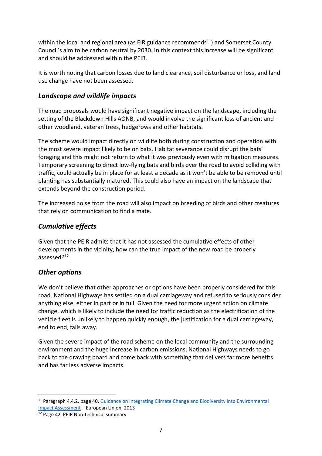within the local and regional area (as EIR guidance recommends<sup>11</sup>) and Somerset County Council's aim to be carbon neutral by 2030. In this context this increase will be significant and should be addressed within the PEIR.

It is worth noting that carbon losses due to land clearance, soil disturbance or loss, and land use change have not been assessed.

#### *Landscape and wildlife impacts*

The road proposals would have significant negative impact on the landscape, including the setting of the Blackdown Hills AONB, and would involve the significant loss of ancient and other woodland, veteran trees, hedgerows and other habitats.

The scheme would impact directly on wildlife both during construction and operation with the most severe impact likely to be on bats. Habitat severance could disrupt the bats' foraging and this might not return to what it was previously even with mitigation measures. Temporary screening to direct low-flying bats and birds over the road to avoid colliding with traffic, could actually be in place for at least a decade as it won't be able to be removed until planting has substantially matured. This could also have an impact on the landscape that extends beyond the construction period.

The increased noise from the road will also impact on breeding of birds and other creatures that rely on communication to find a mate.

#### *Cumulative effects*

Given that the PEIR admits that it has not assessed the cumulative effects of other developments in the vicinity, how can the true impact of the new road be properly assessed?<sup>12</sup>

#### *Other options*

We don't believe that other approaches or options have been properly considered for this road. National Highways has settled on a dual carriageway and refused to seriously consider anything else, either in part or in full. Given the need for more urgent action on climate change, which is likely to include the need for traffic reduction as the electrification of the vehicle fleet is unlikely to happen quickly enough, the justification for a dual carriageway, end to end, falls away.

Given the severe impact of the road scheme on the local community and the surrounding environment and the huge increase in carbon emissions, National Highways needs to go back to the drawing board and come back with something that delivers far more benefits and has far less adverse impacts.

<sup>&</sup>lt;sup>11</sup> Paragraph 4.4.2, page 40, Guidance on Integrating Climate Change and Biodiversity into Environmental [Impact Assessment](https://ec.europa.eu/environment/eia/pdf/EIA%20Guidance.pdf) – European Union, 2013

<sup>12</sup> Page 42, PEIR Non-technical summary